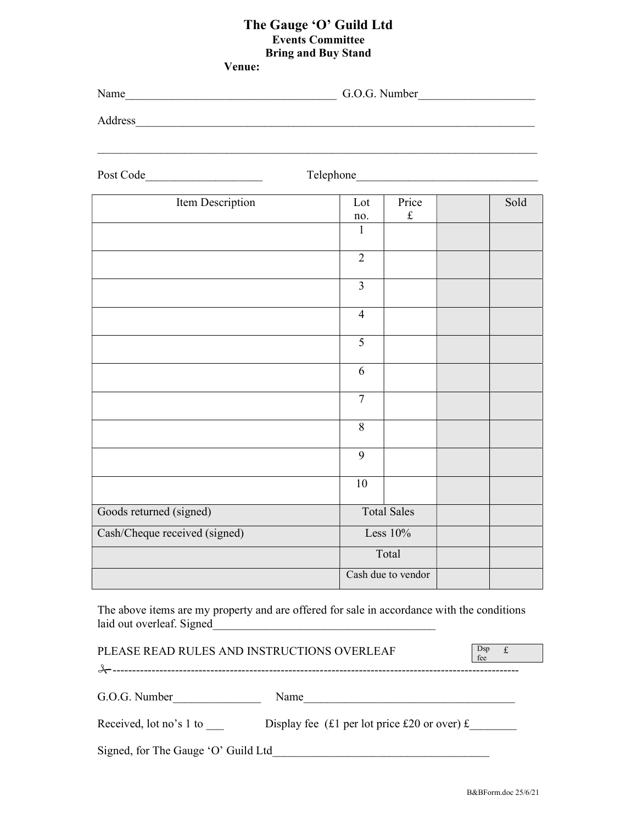## The Gauge 'O' Guild Ltd Events Committee Bring and Buy Stand Venue:

Name G.O.G. Number

Address

| Post Code                     | Telephone_     |                    |      |
|-------------------------------|----------------|--------------------|------|
| Item Description              | Lot            | Price              | Sold |
|                               | no.            | $\pounds$          |      |
|                               | $\mathbf{1}$   |                    |      |
|                               | $\overline{2}$ |                    |      |
|                               | $\overline{3}$ |                    |      |
|                               | $\overline{4}$ |                    |      |
|                               | $\overline{5}$ |                    |      |
|                               | 6              |                    |      |
|                               | $\overline{7}$ |                    |      |
|                               | 8              |                    |      |
|                               | $\overline{9}$ |                    |      |
|                               | 10             |                    |      |
| Goods returned (signed)       |                | <b>Total Sales</b> |      |
| Cash/Cheque received (signed) |                | Less $10%$         |      |
|                               |                | Total              |      |
|                               |                | Cash due to vendor |      |

The above items are my property and are offered for sale in accordance with the conditions laid out overleaf. Signed

PLEASE READ RULES AND INSTRUCTIONS OVERLEAF fee Dsp £ -------------------------------------------------------------------------------------------------------- G.O.G. Number\_\_\_\_\_\_\_\_\_\_\_\_\_\_\_ Name\_\_\_\_\_\_\_\_\_\_\_\_\_\_\_\_\_\_\_\_\_\_\_\_\_\_\_\_\_\_\_\_\_\_\_\_ Received, lot no's 1 to Display fee (£1 per lot price £20 or over)  $\pounds$ Signed, for The Gauge 'O' Guild Ltd

B&BForm.doc 25/6/21